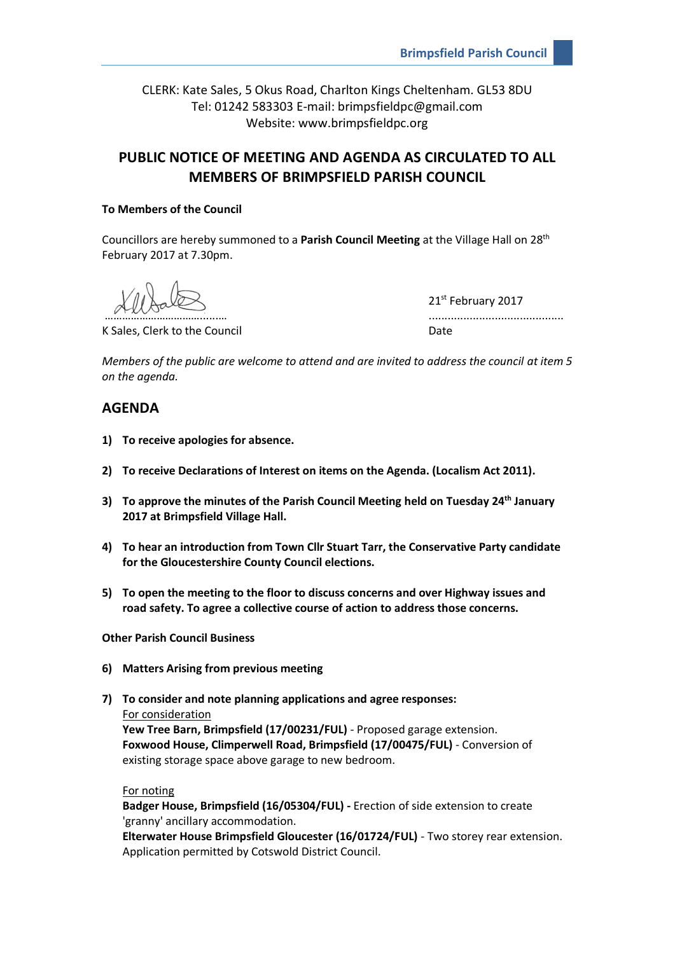CLERK: Kate Sales, 5 Okus Road, Charlton Kings Cheltenham. GL53 8DU Tel: 01242 583303 E-mail: brimpsfieldpc@gmail.com Website: www.brimpsfieldpc.org

# **PUBLIC NOTICE OF MEETING AND AGENDA AS CIRCULATED TO ALL MEMBERS OF BRIMPSFIELD PARISH COUNCIL**

## **To Members of the Council**

Councillors are hereby summoned to a **Parish Council Meeting** at the Village Hall on 28<sup>th</sup> February 2017 at 7.30pm.

K Sales, Clerk to the Council and Date Date

21st February 2017 ……………………………......… ...........................................

*Members of the public are welcome to attend and are invited to address the council at item 5 on the agenda.*

# **AGENDA**

- **1) To receive apologies for absence.**
- **2) To receive Declarations of Interest on items on the Agenda. (Localism Act 2011).**
- **3) To approve the minutes of the Parish Council Meeting held on Tuesday 24th January 2017 at Brimpsfield Village Hall.**
- **4) To hear an introduction from Town Cllr Stuart Tarr, the Conservative Party candidate for the Gloucestershire County Council elections.**
- **5) To open the meeting to the floor to discuss concerns and over Highway issues and road safety. To agree a collective course of action to address those concerns.**

**Other Parish Council Business**

- **6) Matters Arising from previous meeting**
- **7) To consider and note planning applications and agree responses:** For consideration

**Yew Tree Barn, Brimpsfield (17/00231/FUL)** - Proposed garage extension. **Foxwood House, Climperwell Road, Brimpsfield (17/00475/FUL)** - Conversion of existing storage space above garage to new bedroom.

For noting

**Badger House, Brimpsfield (16/05304/FUL) -** Erection of side extension to create 'granny' ancillary accommodation.

**Elterwater House Brimpsfield Gloucester (16/01724/FUL)** - Two storey rear extension. Application permitted by Cotswold District Council.